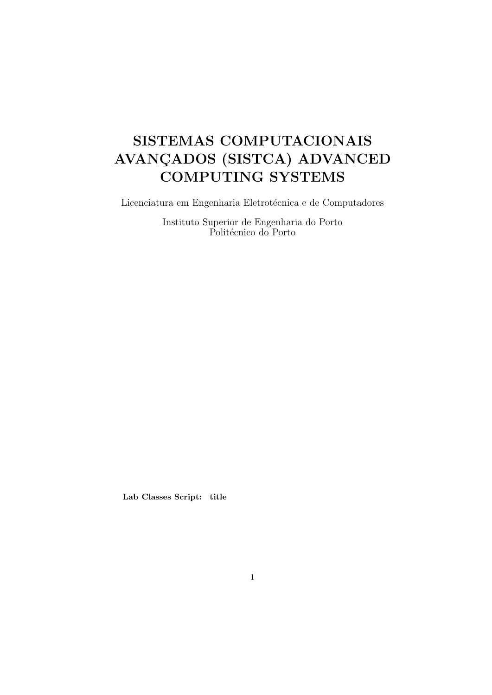# SISTEMAS COMPUTACIONAIS AVANÇADOS (SISTCA) ADVANCED COMPUTING SYSTEMS

 $\rm Lieenciatura$ em Engenharia Eletrotécnica e de Computadores

Instituto Superior de Engenharia do Porto Politécnico do Porto

Lab Classes Script: title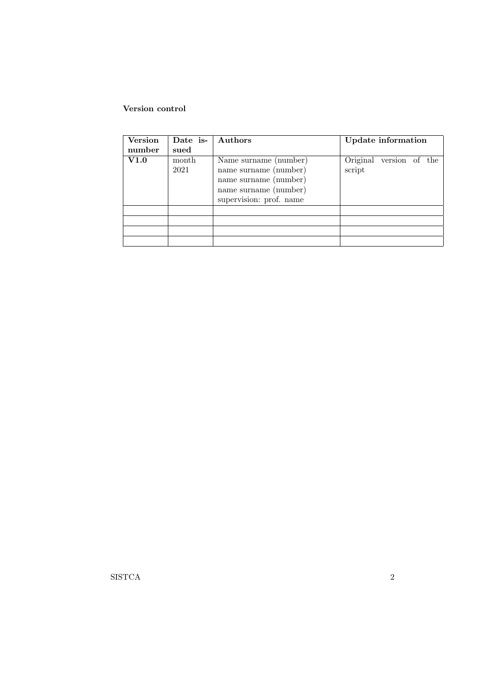## Version control

| <b>Version</b> | Date is-      | Authors                                                                                                                     | Update information                |
|----------------|---------------|-----------------------------------------------------------------------------------------------------------------------------|-----------------------------------|
| number         | sued          |                                                                                                                             |                                   |
| V1.0           | month<br>2021 | Name surname (number)<br>name surname (number)<br>name surname (number)<br>name surname (number)<br>supervision: prof. name | Original version of the<br>script |
|                |               |                                                                                                                             |                                   |
|                |               |                                                                                                                             |                                   |
|                |               |                                                                                                                             |                                   |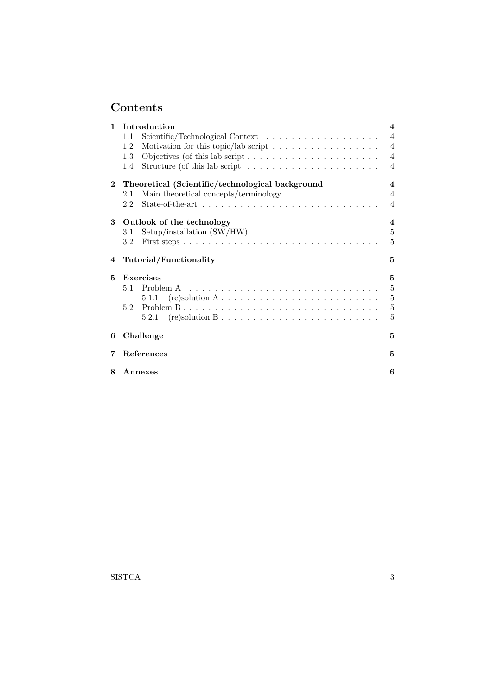# Contents

| $\mathbf{1}$ | Introduction                                                                            | 4                       |
|--------------|-----------------------------------------------------------------------------------------|-------------------------|
|              | 1.1                                                                                     | $\overline{4}$          |
|              | Motivation for this topic/lab script $\ldots \ldots \ldots \ldots \ldots \ldots$<br>1.2 | $\overline{4}$          |
|              | 1.3                                                                                     | $\overline{4}$          |
|              | Structure (of this lab script $\dots \dots \dots \dots \dots \dots \dots$<br>1.4        | $\overline{4}$          |
| $\mathbf{2}$ | Theoretical (Scientific/technological background                                        | $\overline{\mathbf{4}}$ |
|              | Main theoretical concepts/terminology $\dots \dots \dots \dots \dots$<br>2.1            | $\overline{4}$          |
|              | 2.2                                                                                     | $\overline{4}$          |
| 3            | Outlook of the technology                                                               | $\overline{\mathbf{4}}$ |
|              | 3.1                                                                                     | $\bf 5$                 |
|              | 3.2                                                                                     | 5                       |
|              |                                                                                         |                         |
| 4            | Tutorial/Functionality                                                                  | 5                       |
| 5            | <b>Exercises</b>                                                                        | 5                       |
|              | 5.1                                                                                     | $\bf 5$                 |
|              | 5.1.1                                                                                   | $\bf 5$                 |
|              | 5.2                                                                                     | $\bf 5$                 |
|              | 5.2.1                                                                                   | 5                       |
| 6            | Challenge                                                                               | 5                       |
| 7            | <b>References</b>                                                                       | 5                       |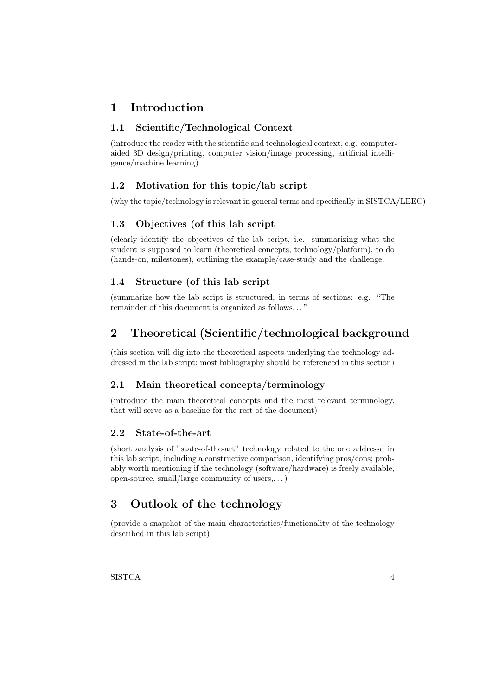# 1 Introduction

# 1.1 Scientific/Technological Context

(introduce the reader with the scientific and technological context, e.g. computeraided 3D design/printing, computer vision/image processing, artificial intelligence/machine learning)

## 1.2 Motivation for this topic/lab script

(why the topic/technology is relevant in general terms and specifically in SISTCA/LEEC)

# 1.3 Objectives (of this lab script

(clearly identify the objectives of the lab script, i.e. summarizing what the student is supposed to learn (theoretical concepts, technology/platform), to do (hands-on, milestones), outlining the example/case-study and the challenge.

## 1.4 Structure (of this lab script

(summarize how the lab script is structured, in terms of sections: e.g. "The remainder of this document is organized as follows. . . "

# 2 Theoretical (Scientific/technological background

(this section will dig into the theoretical aspects underlying the technology addressed in the lab script; most bibliography should be referenced in this section)

### 2.1 Main theoretical concepts/terminology

(introduce the main theoretical concepts and the most relevant terminology, that will serve as a baseline for the rest of the document)

#### 2.2 State-of-the-art

(short analysis of "state-of-the-art" technology related to the one addressd in this lab script, including a constructive comparison, identifying pros/cons; probably worth mentioning if the technology (software/hardware) is freely available, open-source, small/large community of users,. . . )

# 3 Outlook of the technology

(provide a snapshot of the main characteristics/functionality of the technology described in this lab script)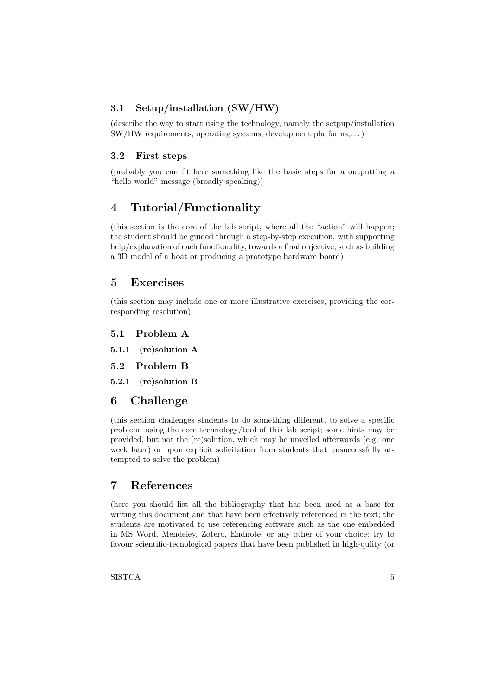## 3.1 Setup/installation (SW/HW)

(describe the way to start using the technology, namely the setpup/installation SW/HW requirements, operating systems, development platforms,. . . )

#### 3.2 First steps

(probably you can fit here something like the basic steps for a outputting a "hello world" message (broadly speaking))

# 4 Tutorial/Functionality

(this section is the core of the lab script, where all the "action" will happen; the student should be guided through a step-by-step execution, with supporting help/explanation of each functionality, towards a final objective, such as building a 3D model of a boat or producing a prototype hardware board)

# 5 Exercises

(this section may include one or more illustrative exercises, providing the corresponding resolution)

5.1 Problem A

5.1.1 (re)solution A

5.2 Problem B

5.2.1 (re)solution B

# 6 Challenge

(this section challenges students to do something different, to solve a specific problem, using the core technology/tool of this lab script; some hints may be provided, but not the (re)solution, which may be unveiled afterwards (e.g. one week later) or upon explicit solicitation from students that unsuccessfully attempted to solve the problem)

# 7 References

(here you should list all the bibliography that has been used as a base for writing this document and that have been effectively referenced in the text; the students are motivated to use referencing software such as the one embedded in MS Word, Mendeley, Zotero, Endnote, or any other of your choice; try to favour scientific-tecnological papers that have been published in high-qulity (or